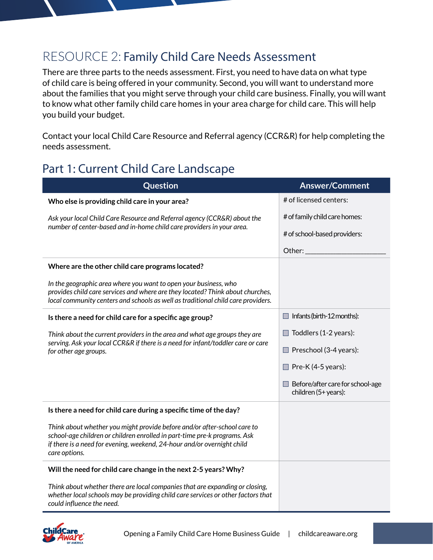## RESOURCE 2: Family Child Care Needs Assessment

There are three parts to the needs assessment. First, you need to have data on what type of child care is being offered in your community. Second, you will want to understand more about the families that you might serve through your child care business. Finally, you will want to know what other family child care homes in your area charge for child care. This will help you build your budget.

Contact your local Child Care Resource and Referral agency (CCR&R) for help completing the needs assessment.

## Part 1: Current Child Care Landscape

| Question                                                                                                                                                                                                                                          | <b>Answer/Comment</b>                                    |
|---------------------------------------------------------------------------------------------------------------------------------------------------------------------------------------------------------------------------------------------------|----------------------------------------------------------|
| Who else is providing child care in your area?                                                                                                                                                                                                    | # of licensed centers:                                   |
| Ask your local Child Care Resource and Referral agency (CCR&R) about the<br>number of center-based and in-home child care providers in your area.                                                                                                 | # of family child care homes:                            |
|                                                                                                                                                                                                                                                   | # of school-based providers:                             |
|                                                                                                                                                                                                                                                   | Other:                                                   |
| Where are the other child care programs located?                                                                                                                                                                                                  |                                                          |
| In the geographic area where you want to open your business, who<br>provides child care services and where are they located? Think about churches,<br>local community centers and schools as well as traditional child care providers.            |                                                          |
| Is there a need for child care for a specific age group?                                                                                                                                                                                          | $\Box$ Infants (birth-12 months):                        |
| Think about the current providers in the area and what age groups they are<br>serving. Ask your local CCR&R if there is a need for infant/toddler care or care<br>for other age groups.                                                           | Toddlers (1-2 years):                                    |
|                                                                                                                                                                                                                                                   | $\Box$ Preschool (3-4 years):                            |
|                                                                                                                                                                                                                                                   | $\Box$ Pre-K (4-5 years):                                |
|                                                                                                                                                                                                                                                   | Before/after care for school-age<br>children (5+ years): |
| Is there a need for child care during a specific time of the day?                                                                                                                                                                                 |                                                          |
| Think about whether you might provide before and/or after-school care to<br>school-age children or children enrolled in part-time pre-k programs. Ask<br>if there is a need for evening, weekend, 24-hour and/or overnight child<br>care options. |                                                          |
| Will the need for child care change in the next 2-5 years? Why?                                                                                                                                                                                   |                                                          |
| Think about whether there are local companies that are expanding or closing,<br>whether local schools may be providing child care services or other factors that<br>could influence the need.                                                     |                                                          |

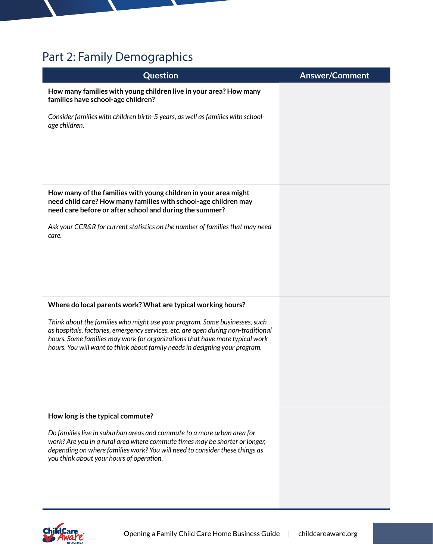## Part 2: Family Demographics

| Question                                                                                                                                                                                                                                                                                                                      | <b>Answer/Comment</b> |
|-------------------------------------------------------------------------------------------------------------------------------------------------------------------------------------------------------------------------------------------------------------------------------------------------------------------------------|-----------------------|
| How many families with young children live in your area? How many<br>families have school-age children?                                                                                                                                                                                                                       |                       |
| Consider families with children birth-5 years, as well as families with school-<br>age children.                                                                                                                                                                                                                              |                       |
| How many of the families with young children in your area might<br>need child care? How many families with school-age children may<br>need care before or after school and during the summer?                                                                                                                                 |                       |
| Ask your CCR&R for current statistics on the number of families that may need<br>care.                                                                                                                                                                                                                                        |                       |
| Where do local parents work? What are typical working hours?                                                                                                                                                                                                                                                                  |                       |
| Think about the families who might use your program. Some businesses, such<br>as hospitals, factories, emergency services, etc. are open during non-traditional<br>hours. Some families may work for organizations that have more typical work<br>hours. You will want to think about family needs in designing your program. |                       |
| How long is the typical commute?                                                                                                                                                                                                                                                                                              |                       |
| Do families live in suburban areas and commute to a more urban area for<br>work? Are you in a rural area where commute times may be shorter or longer,<br>depending on where families work? You will need to consider these things as<br>you think about your hours of operation.                                             |                       |